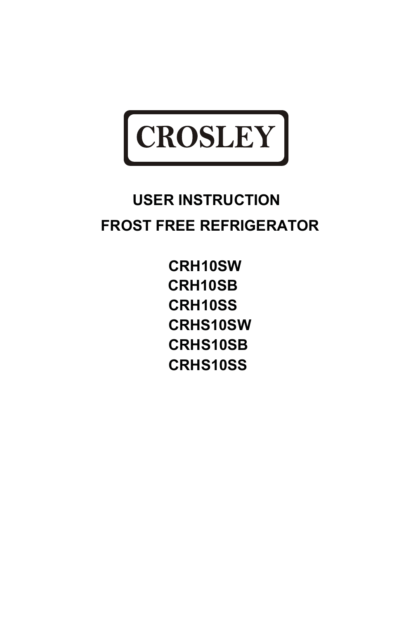

# **USER INSTRUCTION USER INSTRUCTION FROST FREE REFRIGERATOR**

**CRH10SW CRH10SB CRH10SS CRHS10SW CRHS10SB CRHS10SS**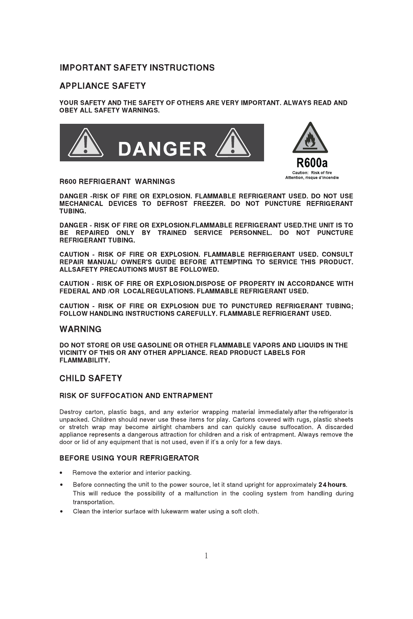# **IMPORTANT SAFETY INSTRUCTIONS**

## **APPLIANCE SAFETY**

YOUR SAFETY AND THE SAFETY OF OTHERS ARE VERY IMPORTANT. ALWAYS READ AND **OBEY ALL SAFETY WARNINGS.** 





#### **R600 REFRIGERANT WARNINGS**

DANGER -RISK OF FIRE OR EXPLOSION. FLAMMABLE REFRIGERANT USED. DO NOT USE MECHANICAL DEVICES TO DEFROST FREEZER. DO NOT PUNCTURE REFRIGERANT TUBING.

DANGER - RISK OF FIRE OR EXPLOSION FLAMMABLE REFRIGERANT USED. THE UNIT IS TO BE REPAIRED ONLY BY TRAINED SERVICE PERSONNEL. DO NOT PUNCTURE **REFRIGERANT TURING** 

CAUTION - RISK OF FIRE OR EXPLOSION, FLAMMABLE REFRIGERANT USED, CONSULT REPAIR MANUAL/ OWNER'S GUIDE BEFORE ATTEMPTING TO SERVICE THIS PRODUCT. ALLSAFETY PRECAUTIONS MUST BE FOLLOWED.

CAUTION - RISK OF FIRE OR EXPLOSION.DISPOSE OF PROPERTY IN ACCORDANCE WITH FEDERAL AND /OR LOCALREGULATIONS. FLAMMABLE REFRIGERANT USED.

CAUTION - RISK OF FIRE OR EXPLOSION DUE TO PUNCTURED REFRIGERANT TUBING: FOLLOW HANDLING INSTRUCTIONS CAREFULLY, FLAMMABLE REFRIGERANT USED.

### **WARNING**

DO NOT STORE OR USE GASOLINE OR OTHER FLAMMABLE VAPORS AND LIQUIDS IN THE VICINITY OF THIS OR ANY OTHER APPLIANCE. READ PRODUCT LABELS FOR **ELAMMARILITY** 

## **CHILD SAFETY**

### RISK OF SUFFOCATION AND ENTRAPMENT

Destroy carton, plastic bags, and any exterior wrapping material immediately after the refrigerator is unpacked. Children should never use these items for play. Cartons covered with rugs, plastic sheets or stretch wrap may become airtight chambers and can quickly cause suffocation. A discarded appliance represents a dangerous attraction for children and a risk of entrapment. Always remove the door or lid of any equipment that is not used, even if it's a only for a few days.

### BEFORE USING YOUR REFRIGERATOR

- Remove the exterior and interior packing.
- Before connecting the unit to the power source, let it stand upright for approximately 24 hours.  $\bullet$ This will reduce the possibility of a malfunction in the cooling system from handling during transportation.
- Clean the interior surface with lukewarm water using a soft cloth.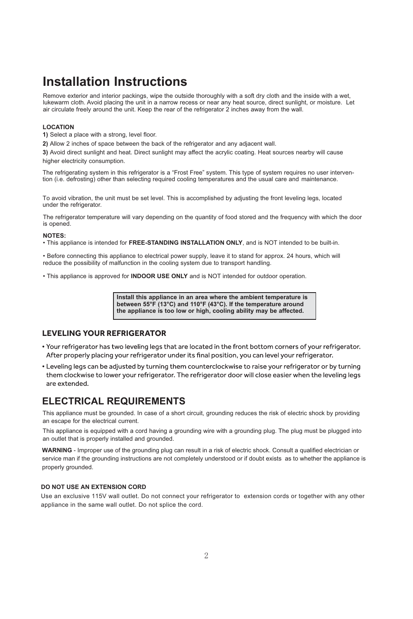# **Installation Instructions**

Remove exterior and interior packings, wipe the outside thoroughly with a soft dry cloth and the inside with a wet, lukewarm cloth. Avoid placing the unit in a narrow recess or near any heat source, direct sunlight, or moisture. Let air circulate freely around the unit. Keep the rear of the refrigerator 2 inches away from the wall.

### **LOCATION**

**1)** Select a place with a strong, level floor.

**2)** Allow 2 inches of space between the back of the refrigerator and any adjacent wall.

**3)** Avoid direct sunlight and heat. Direct sunlight may affect the acrylic coating. Heat sources nearby will cause higher electricity consumption.

The refrigerating system in this refrigerator is a "Frost Free" system. This type of system requires no user intervention (i.e. defrosting) other than selecting required cooling temperatures and the usual care and maintenance.

To avoid vibration, the unit must be set level. This is accomplished by adjusting the front leveling legs, located under the refrigerator.

The refrigerator temperature will vary depending on the quantity of food stored and the frequency with which the door is opened.

### **NOTES:**

- This appliance is intended for **FREE-STANDING INSTALLATION ONLY**, and is NOT intended to be built-in.

- Before connecting this appliance to electrical power supply, leave it to stand for approx. 24 hours, which will reduce the possibility of malfunction in the cooling system due to transport handling.

- This appliance is approved for **INDOOR USE ONLY** and is NOT intended for outdoor operation.

**Install this appliance in an area where the ambient temperature is between 55°F (13°C) and 110°F (43°C). If the temperature around the appliance is too low or high, cooling ability may be affected.** 

## **LEVELING YOUR REFRIGERATOR**

- . Your refrigerator has two leveling legs that are located in the front bottom corners of your refrigerator. After properly placing your refrigerator under its final position, you can level your refrigerator.
- Leveling legs can be adjusted by turning them counterclockwise to raise your refrigerator or by turning them clockwise to lower your refrigerator. The refrigerator door will close easier when the leveling legs are extended.

# **ELECTRICAL REQUIREMENTS**

This appliance must be grounded. In case of a short circuit, grounding reduces the risk of electric shock by providing an escape for the electrical current.

This appliance is equipped with a cord having a grounding wire with a grounding plug. The plug must be plugged into an outlet that is properly installed and grounded.

WARNING - Improper use of the grounding plug can result in a risk of electric shock. Consult a qualified electrician or service man if the grounding instructions are not completely understood or if doubt exists as to whether the appliance is properly grounded.

### **DO NOT USE AN EXTENSION CORD**

Use an exclusive 115V wall outlet. Do not connect your refrigerator to extension cords or together with any other appliance in the same wall outlet. Do not splice the cord.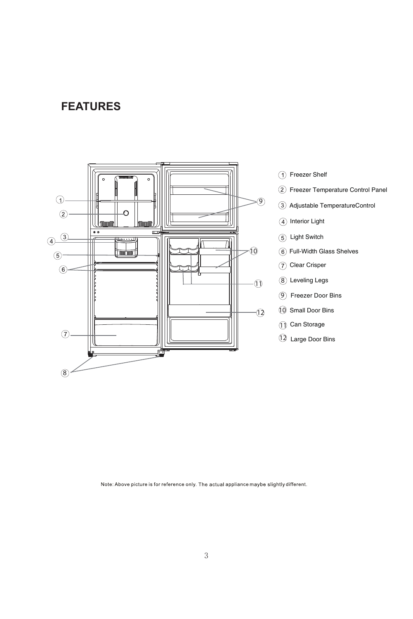# **FEATURES**



Note: Above picture is for reference only. The actual appliance maybe slightly different.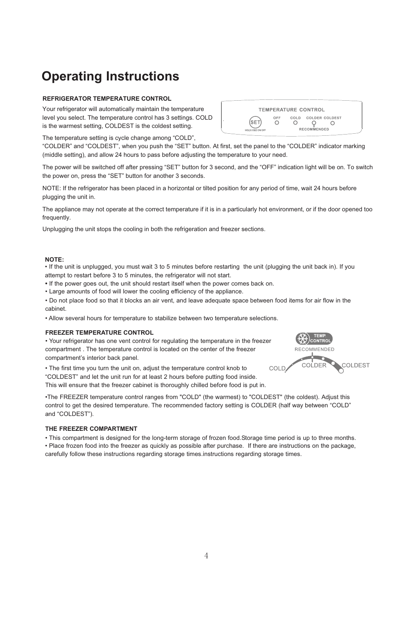# **Operating Instructions**

### **REFRIGERATOR TEMPERATURE CONTROL**

Your refrigerator will automatically maintain the temperature level you select. The temperature control has 3 settings. COLD is the warmest setting, COLDEST is the coldest setting.

The temperature setting is cycle change among "COLD",

"COLDER" and "COLDEST", when you push the "SET" button. At first, set the panel to the "COLDER" indicator marking (middle setting), and allow 24 hours to pass before adjusting the temperature to your need.

The power will be switched off after pressing "SET" button for 3 second, and the "OFF" indication light will be on. To switch the power on, press the "SET" button for another 3 seconds.

NOTE: If the refrigerator has been placed in a horizontal or tilted position for any period of time, wait 24 hours before plugging the unit in.

The appliance may not operate at the correct temperature if it is in a particularly hot environment, or if the door opened too frequently.

Unplugging the unit stops the cooling in both the refrigeration and freezer sections.

#### **NOTE:**

• If the unit is unplugged, you must wait 3 to 5 minutes before restarting the unit (plugging the unit back in). If you attempt to restart before 3 to 5 minutes, the refrigerator will not start.

**-**If the power goes out, the unit should restart itself when the power comes back on.

- Large amounts of food will lower the cooling efficiency of the appliance.

- Do not place food so that it blocks an air vent, and leave adequate space between food items for air flow in the cabinet.

- Allow several hours for temperature to stabilize between two temperature selections.

#### **FREEZER TEMPERATURE CONTROL**

- Your refrigerator has one vent control for regulating the temperature in the freezer compartment . The temperature control is located on the center of the freezer compartment's interior back panel.

- The first time you turn the unit on, adjust the temperature control knob to "COLDEST" and let the unit run for at least 2 hours before putting food inside.

This will ensure that the freezer cabinet is thoroughly chilled before food is put in.

- FREEZER temperature control ranges from "COLD" (the warmest) to "COLDEST" (the coldest). Adjust this control to get the desired temperature. The recommended factory setting is COLDER (half way between "COLD" and "COLDEST").

#### **THE FREEZER COMPARTMENT**

- This compartment is designed for the long-term storage of frozen food.Storage time period is up to three months. - Place frozen food into the freezer as quickly as possible after purchase. If there are instructions on the package, carefully follow these instructions regarding storage times.instructions regarding storage times.



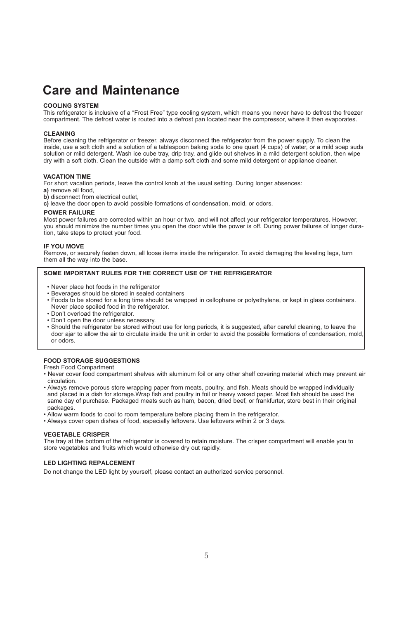# **Care and Maintenance**

#### **COOLING SYSTEM**

This refrigerator is inclusive of a "Frost Free" type cooling system, which means you never have to defrost the freezer compartment. The defrost water is routed into a defrost pan located near the compressor, where it then evaporates.

#### **CLEANING**

Before cleaning the refrigerator or freezer, always disconnect the refrigerator from the power supply. To clean the inside, use a soft cloth and a solution of a tablespoon baking soda to one quart (4 cups) of water, or a mild soap suds solution or mild detergent. Wash ice cube tray, drip tray, and glide out shelves in a mild detergent solution, then wipe dry with a soft cloth. Clean the outside with a damp soft cloth and some mild detergent or appliance cleaner.

#### **VACATION TIME**

For short vacation periods, leave the control knob at the usual setting. During longer absences:

- **a)** remove all food,
- **b)** disconnect from electrical outlet,
- **c)** leave the door open to avoid possible formations of condensation, mold, or odors.

#### **POWER FAILURE**

Most power failures are corrected within an hour or two, and will not affect your refrigerator temperatures. However, you should minimize the number times you open the door while the power is off. During power failures of longer duration, take steps to protect your food.

#### **IF YOU MOVE**

Remove, or securely fasten down, all loose items inside the refrigerator. To avoid damaging the leveling legs, turn them all the way into the base.

#### **SOME IMPORTANT RULES FOR THE CORRECT USE OF THE REFRIGERATOR**

- Never place hot foods in the refrigerator
- Beverages should be stored in sealed containers
- Foods to be stored for a long time should be wrapped in cellophane or polyethylene, or kept in glass containers. Never place spoiled food in the refrigerator.
- Don't overload the refrigerator.
- Don't open the door unless necessary.
- Should the refrigerator be stored without use for long periods, it is suggested, after careful cleaning, to leave the door ajar to allow the air to circulate inside the unit in order to avoid the possible formations of condensation, mold, or odors.

#### **FOOD STORAGE SUGGESTIONS**

- Fresh Food Compartment
- Never cover food compartment shelves with aluminum foil or any other shelf covering material which may prevent air circulation.
- Always remove porous store wrapping paper from meats, poultry, and fish. Meats should be wrapped individually and placed in a dish for storage.Wrap fish and poultry in foil or heavy waxed paper. Most fish should be used the same day of purchase. Packaged meats such as ham, bacon, dried beef, or frankfurter, store best in their original packages.
- Allow warm foods to cool to room temperature before placing them in the refrigerator.
- Always cover open dishes of food, especially leftovers. Use leftovers within 2 or 3 days.

#### **VEGETABLE CRISPER**

The tray at the bottom of the refrigerator is covered to retain moisture. The crisper compartment will enable you to store vegetables and fruits which would otherwise dry out rapidly.

#### **LED LIGHTING REPALCEMENT**

Do not change the LED light by yourself, please contact an authorized service personnel.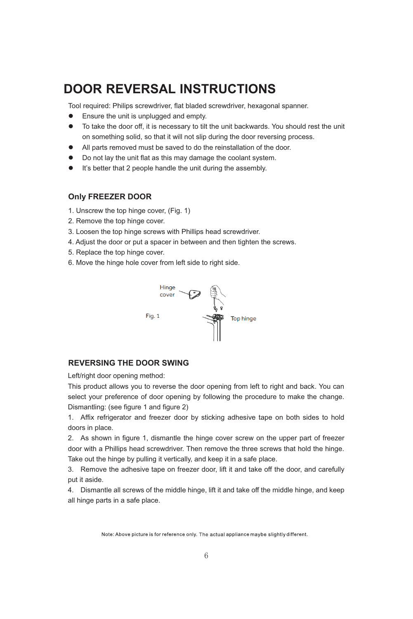# **DOOR REVERSAL INSTRUCTIONS**

Tool required: Philips screwdriver, flat bladed screwdriver, hexagonal spanner.

- $\bullet$ Ensure the unit is unplugged and empty.
- $\bullet$  To take the door off, it is necessary to tilt the unit backwards. You should rest the unit on something solid, so that it will not slip during the door reversing process.
- $\bullet$ All parts removed must be saved to do the reinstallation of the door.
- $\bullet$ Do not lay the unit flat as this may damage the coolant system.
- $\bullet$ It's better that 2 people handle the unit during the assembly.

## **Only FREEZER DOOR**

- 1. Unscrew the top hinge cover, (Fig. 1)
- 2. Remove the top hinge cover.
- 3. Loosen the top hinge screws with Phillips head screwdriver.
- 4. Adjust the door or put a spacer in between and then tighten the screws.
- 5. Replace the top hinge cover.
- 6. Move the hinge hole cover from left side to right side.



# **REVERSING THE DOOR SWING**

Left/right door opening method:

This product allows you to reverse the door opening from left to right and back. You can select your preference of door opening by following the procedure to make the change. Dismantling: (see figure 1 and figure 2)

1. Affix refrigerator and freezer door by sticking adhesive tape on both sides to hold doors in place.

2. As shown in figure 1, dismantle the hinge cover screw on the upper part of freezer door with a Phillips head screwdriver. Then remove the three screws that hold the hinge. Take out the hinge by pulling it vertically, and keep it in a safe place.

3. Remove the adhesive tape on freezer door, lift it and take off the door, and carefully put it aside.

4. Dismantle all screws of the middle hinge, lift it and take off the middle hinge, and keep all hinge parts in a safe place.

Note: Above picture is for reference only. The actual appliance maybe slightly different.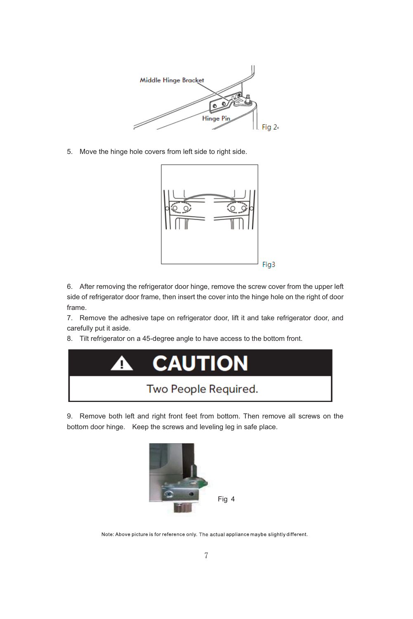

5. Move the hinge hole covers from left side to right side.



6. After removing the refrigerator door hinge, remove the screw cover from the upper left side of refrigerator door frame, then insert the cover into the hinge hole on the right of door frame.

7. Remove the adhesive tape on refrigerator door, lift it and take refrigerator door, and carefully put it aside.

8. Tilt refrigerator on a 45-degree angle to have access to the bottom front.



9. Remove both left and right front feet from bottom. Then remove all screws on the bottom door hinge. Keep the screws and leveling leg in safe place.



Note: Above picture is for reference only. The actual appliance maybe slightly different.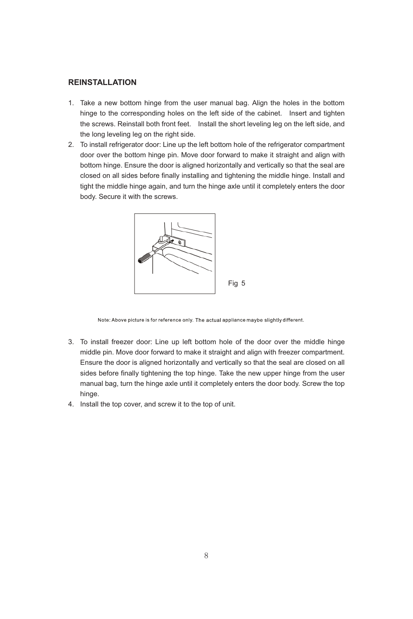# **REINSTALLATION**

- 1. Take a new bottom hinge from the user manual bag. Align the holes in the bottom hinge to the corresponding holes on the left side of the cabinet. Insert and tighten the screws. Reinstall both front feet. Install the short leveling leg on the left side, and the long leveling leg on the right side.
- 2. To install refrigerator door: Line up the left bottom hole of the refrigerator compartment door over the bottom hinge pin. Move door forward to make it straight and align with bottom hinge. Ensure the door is aligned horizontally and vertically so that the seal are closed on all sides before finally installing and tightening the middle hinge. Install and tight the middle hinge again, and turn the hinge axle until it completely enters the door body. Secure it with the screws.



Note: Above picture is for reference only. The actual appliance maybe slightly different.

- 3. To install freezer door: Line up left bottom hole of the door over the middle hinge middle pin. Move door forward to make it straight and align with freezer compartment. Ensure the door is aligned horizontally and vertically so that the seal are closed on all sides before finally tightening the top hinge. Take the new upper hinge from the user manual bag, turn the hinge axle until it completely enters the door body. Screw the top hinge.
- 4. Install the top cover, and screw it to the top of unit.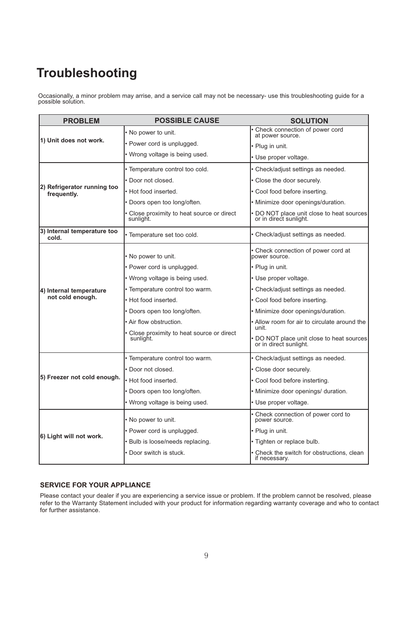# **Troubleshooting**

Occasionally, a minor problem may arrise, and a service call may not be necessary- use this troubleshooting guide for a possible solution.

| <b>PROBLEM</b>                              | <b>POSSIBLE CAUSE</b>                                 | <b>SOLUTION</b>                                                     |
|---------------------------------------------|-------------------------------------------------------|---------------------------------------------------------------------|
| 1) Unit does not work.                      | • No power to unit.                                   | Check connection of power cord<br>at power source.                  |
|                                             | • Power cord is unplugged.                            | · Plug in unit.                                                     |
|                                             | · Wrong voltage is being used.                        | • Use proper voltage.                                               |
| 2) Refrigerator running too<br>frequently.  | · Temperature control too cold.                       | • Check/adjust settings as needed.                                  |
|                                             | • Door not closed.                                    | • Close the door securely.                                          |
|                                             | . Hot food inserted.                                  | • Cool food before inserting.                                       |
|                                             | Doors open too long/often.                            | · Minimize door openings/duration.                                  |
|                                             | Close proximity to heat source or direct<br>sunlight. | • DO NOT place unit close to heat sources<br>or in direct sunlight. |
| 3) Internal temperature too<br>cold.        | · Temperature set too cold.                           | • Check/adjust settings as needed.                                  |
| 4) Internal temperature<br>not cold enough. | No power to unit.                                     | • Check connection of power cord at<br>power source.                |
|                                             | • Power cord is unplugged.                            | · Plug in unit.                                                     |
|                                             | . Wrong voltage is being used.                        | • Use proper voltage.                                               |
|                                             | · Temperature control too warm.                       | • Check/adjust settings as needed.                                  |
|                                             | • Hot food inserted.                                  | • Cool food before inserting.                                       |
|                                             | · Doors open too long/often.                          | · Minimize door openings/duration.                                  |
|                                             | Air flow obstruction.                                 | • Allow room for air to circulate around the<br>unit.               |
|                                             | Close proximity to heat source or direct<br>sunlight. | DO NOT place unit close to heat sources<br>or in direct sunlight.   |
| 5) Freezer not cold enough.                 | • Temperature control too warm.                       | • Check/adjust settings as needed.                                  |
|                                             | · Door not closed.                                    | • Close door securely.                                              |
|                                             | • Hot food inserted.                                  | · Cool food before insterting.                                      |
|                                             | · Doors open too long/often.                          | · Minimize door openings/ duration.                                 |
|                                             | · Wrong voltage is being used.                        | • Use proper voltage.                                               |
| 6) Light will not work.                     | • No power to unit.                                   | Check connection of power cord to<br>power source.                  |
|                                             | • Power cord is unplugged.                            | · Plug in unit.                                                     |
|                                             | · Bulb is loose/needs replacing.                      | · Tighten or replace bulb.                                          |
|                                             | • Door switch is stuck.                               | • Check the switch for obstructions, clean<br>if necessary.         |

## **SERVICE FOR YOUR APPLIANCE**

Please contact your dealer if you are experiencing a service issue or problem. If the problem cannot be resolved, please refer to the Warranty Statement included with your product for information regarding warranty coverage and who to contact for further assistance.